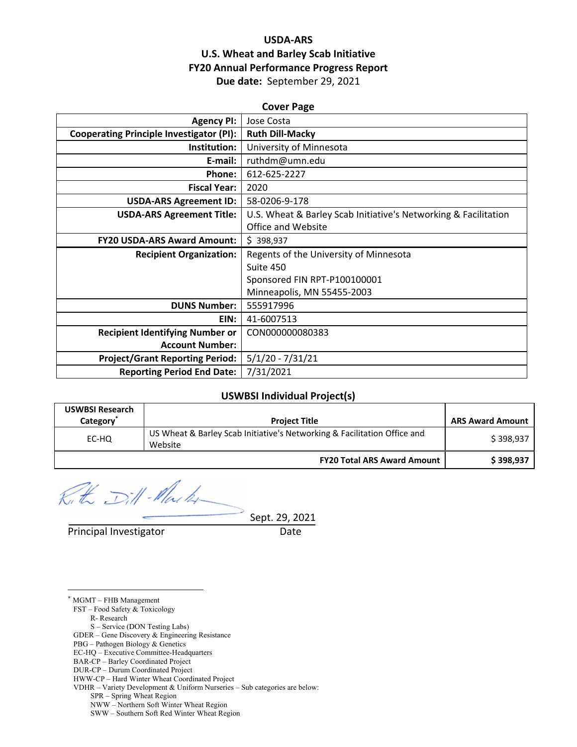## **USDA‐ARS U.S. Wheat and Barley Scab Initiative FY20 Annual Performance Progress Report Due date:** September 29, 2021

| <b>Cover Page</b>                               |                                                                 |  |  |  |
|-------------------------------------------------|-----------------------------------------------------------------|--|--|--|
| <b>Agency PI:</b>                               | Jose Costa                                                      |  |  |  |
| <b>Cooperating Principle Investigator (PI):</b> | <b>Ruth Dill-Macky</b>                                          |  |  |  |
| Institution:                                    | University of Minnesota                                         |  |  |  |
| E-mail:                                         | ruthdm@umn.edu                                                  |  |  |  |
| Phone:                                          | 612-625-2227                                                    |  |  |  |
| <b>Fiscal Year:</b>                             | 2020                                                            |  |  |  |
| <b>USDA-ARS Agreement ID:</b>                   | 58-0206-9-178                                                   |  |  |  |
| <b>USDA-ARS Agreement Title:</b>                | U.S. Wheat & Barley Scab Initiative's Networking & Facilitation |  |  |  |
|                                                 | Office and Website                                              |  |  |  |
| <b>FY20 USDA-ARS Award Amount:</b>              | \$398,937                                                       |  |  |  |
| <b>Recipient Organization:</b>                  | Regents of the University of Minnesota                          |  |  |  |
|                                                 | Suite 450                                                       |  |  |  |
|                                                 | Sponsored FIN RPT-P100100001                                    |  |  |  |
|                                                 | Minneapolis, MN 55455-2003                                      |  |  |  |
| <b>DUNS Number:</b>                             | 555917996                                                       |  |  |  |
| EIN:                                            | 41-6007513                                                      |  |  |  |
| <b>Recipient Identifying Number or</b>          | CON000000080383                                                 |  |  |  |
| <b>Account Number:</b>                          |                                                                 |  |  |  |
| <b>Project/Grant Reporting Period:</b>          | $5/1/20 - 7/31/21$                                              |  |  |  |
| <b>Reporting Period End Date:</b>               | 7/31/2021                                                       |  |  |  |

#### **USWBSI Individual Project(s)**

| <b>USWBSI Research</b><br>Category <sup>*</sup> | <b>Project Title</b>                                                                | <b>ARS Award Amount</b> |
|-------------------------------------------------|-------------------------------------------------------------------------------------|-------------------------|
| EC-HQ                                           | US Wheat & Barley Scab Initiative's Networking & Facilitation Office and<br>Website | \$398,937               |
|                                                 | <b>FY20 Total ARS Award Amount</b>                                                  | \$398,937               |

Kith Dill-Marker

Sept. 29, 2021

Principal Investigator **Date** 

\* MGMT – FHB Management FST – Food Safety & Toxicology

<u>.</u>

R- Research

S – Service (DON Testing Labs)

GDER – Gene Discovery & Engineering Resistance

- PBG Pathogen Biology & Genetics
- EC-HQ Executive Committee-Headquarters
- BAR-CP Barley Coordinated Project DUR-CP – Durum Coordinated Project

SWW – Southern Soft Red Winter Wheat Region

HWW-CP – Hard Winter Wheat Coordinated Project

VDHR – Variety Development & Uniform Nurseries – Sub categories are below:

SPR – Spring Wheat Region

NWW – Northern Soft Winter Wheat Region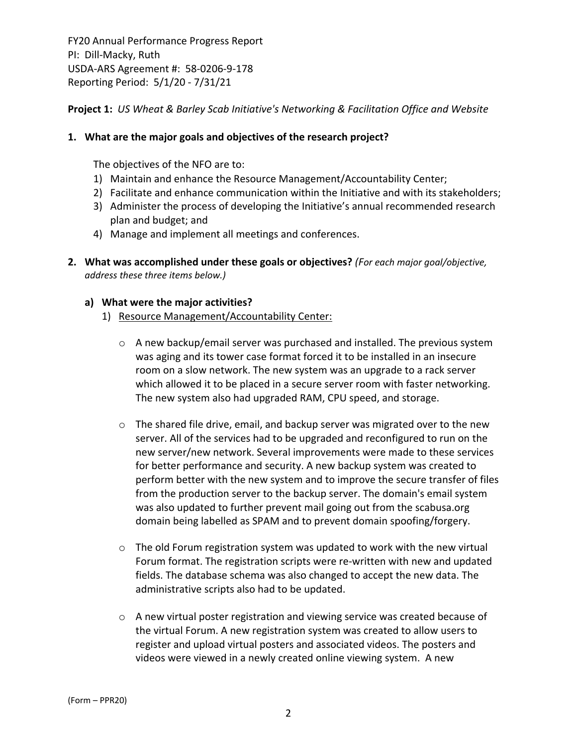**Project 1:** *US Wheat & Barley Scab Initiative's Networking & Facilitation Office and Website*

## **1. What are the major goals and objectives of the research project?**

The objectives of the NFO are to:

- 1) Maintain and enhance the Resource Management/Accountability Center;
- 2) Facilitate and enhance communication within the Initiative and with its stakeholders;
- 3) Administer the process of developing the Initiative's annual recommended research plan and budget; and
- 4) Manage and implement all meetings and conferences.
- **2. What was accomplished under these goals or objectives?** *(For each major goal/objective, address these three items below.)*

## **a) What were the major activities?**

- 1) Resource Management/Accountability Center:
	- o A new backup/email server was purchased and installed. The previous system was aging and its tower case format forced it to be installed in an insecure room on a slow network. The new system was an upgrade to a rack server which allowed it to be placed in a secure server room with faster networking. The new system also had upgraded RAM, CPU speed, and storage.
	- $\circ$  The shared file drive, email, and backup server was migrated over to the new server. All of the services had to be upgraded and reconfigured to run on the new server/new network. Several improvements were made to these services for better performance and security. A new backup system was created to perform better with the new system and to improve the secure transfer of files from the production server to the backup server. The domain's email system was also updated to further prevent mail going out from the scabusa.org domain being labelled as SPAM and to prevent domain spoofing/forgery.
	- $\circ$  The old Forum registration system was updated to work with the new virtual Forum format. The registration scripts were re‐written with new and updated fields. The database schema was also changed to accept the new data. The administrative scripts also had to be updated.
	- o A new virtual poster registration and viewing service was created because of the virtual Forum. A new registration system was created to allow users to register and upload virtual posters and associated videos. The posters and videos were viewed in a newly created online viewing system. A new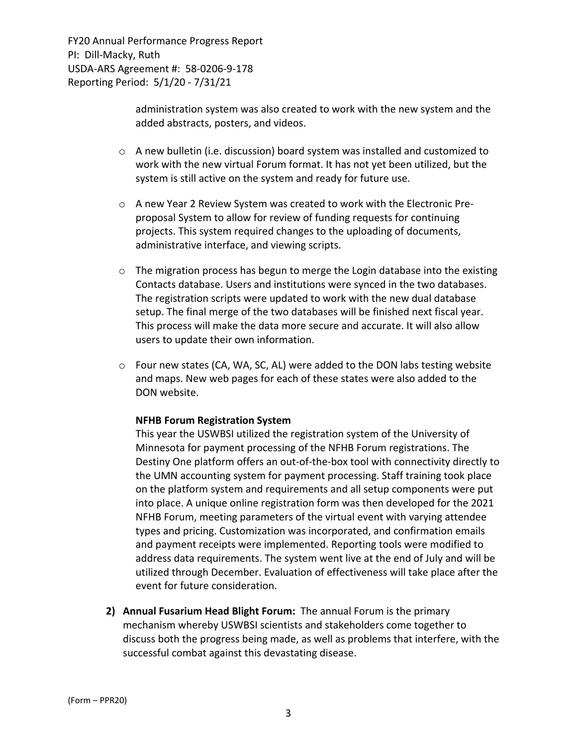> administration system was also created to work with the new system and the added abstracts, posters, and videos.

- o A new bulletin (i.e. discussion) board system was installed and customized to work with the new virtual Forum format. It has not yet been utilized, but the system is still active on the system and ready for future use.
- o A new Year 2 Review System was created to work with the Electronic Pre‐ proposal System to allow for review of funding requests for continuing projects. This system required changes to the uploading of documents, administrative interface, and viewing scripts.
- $\circ$  The migration process has begun to merge the Login database into the existing Contacts database. Users and institutions were synced in the two databases. The registration scripts were updated to work with the new dual database setup. The final merge of the two databases will be finished next fiscal year. This process will make the data more secure and accurate. It will also allow users to update their own information.
- $\circ$  Four new states (CA, WA, SC, AL) were added to the DON labs testing website and maps. New web pages for each of these states were also added to the DON website.

## **NFHB Forum Registration System**

This year the USWBSI utilized the registration system of the University of Minnesota for payment processing of the NFHB Forum registrations. The Destiny One platform offers an out-of-the-box tool with connectivity directly to the UMN accounting system for payment processing. Staff training took place on the platform system and requirements and all setup components were put into place. A unique online registration form was then developed for the 2021 NFHB Forum, meeting parameters of the virtual event with varying attendee types and pricing. Customization was incorporated, and confirmation emails and payment receipts were implemented. Reporting tools were modified to address data requirements. The system went live at the end of July and will be utilized through December. Evaluation of effectiveness will take place after the event for future consideration.

**2) Annual Fusarium Head Blight Forum:** The annual Forum is the primary mechanism whereby USWBSI scientists and stakeholders come together to discuss both the progress being made, as well as problems that interfere, with the successful combat against this devastating disease.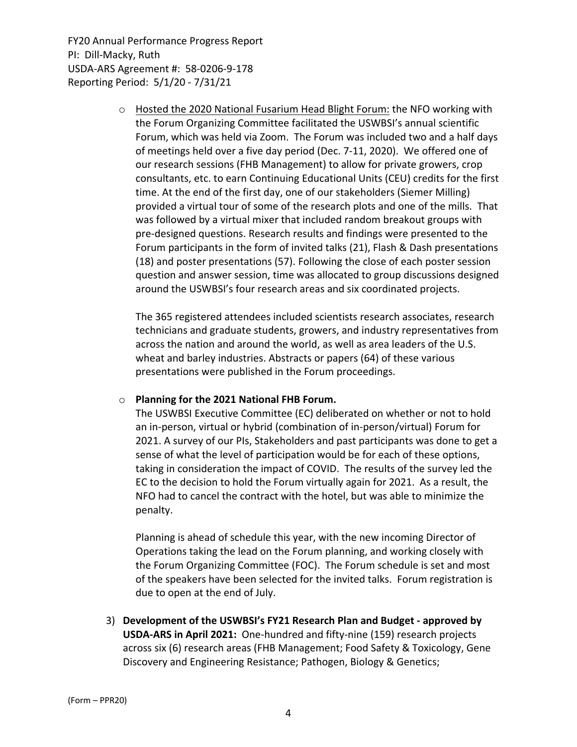> $\circ$  Hosted the 2020 National Fusarium Head Blight Forum: the NFO working with the Forum Organizing Committee facilitated the USWBSI's annual scientific Forum, which was held via Zoom. The Forum was included two and a half days of meetings held over a five day period (Dec. 7‐11, 2020). We offered one of our research sessions (FHB Management) to allow for private growers, crop consultants, etc. to earn Continuing Educational Units (CEU) credits for the first time. At the end of the first day, one of our stakeholders (Siemer Milling) provided a virtual tour of some of the research plots and one of the mills. That was followed by a virtual mixer that included random breakout groups with pre‐designed questions. Research results and findings were presented to the Forum participants in the form of invited talks (21), Flash & Dash presentations (18) and poster presentations (57). Following the close of each poster session question and answer session, time was allocated to group discussions designed around the USWBSI's four research areas and six coordinated projects.

The 365 registered attendees included scientists research associates, research technicians and graduate students, growers, and industry representatives from across the nation and around the world, as well as area leaders of the U.S. wheat and barley industries. Abstracts or papers (64) of these various presentations were published in the Forum proceedings.

## o **Planning for the 2021 National FHB Forum.**

The USWBSI Executive Committee (EC) deliberated on whether or not to hold an in‐person, virtual or hybrid (combination of in‐person/virtual) Forum for 2021. A survey of our PIs, Stakeholders and past participants was done to get a sense of what the level of participation would be for each of these options, taking in consideration the impact of COVID. The results of the survey led the EC to the decision to hold the Forum virtually again for 2021. As a result, the NFO had to cancel the contract with the hotel, but was able to minimize the penalty.

Planning is ahead of schedule this year, with the new incoming Director of Operations taking the lead on the Forum planning, and working closely with the Forum Organizing Committee (FOC). The Forum schedule is set and most of the speakers have been selected for the invited talks. Forum registration is due to open at the end of July.

3) **Development of the USWBSI's FY21 Research Plan and Budget ‐ approved by USDA‐ARS in April 2021:** One‐hundred and fifty‐nine (159) research projects across six (6) research areas (FHB Management; Food Safety & Toxicology, Gene Discovery and Engineering Resistance; Pathogen, Biology & Genetics;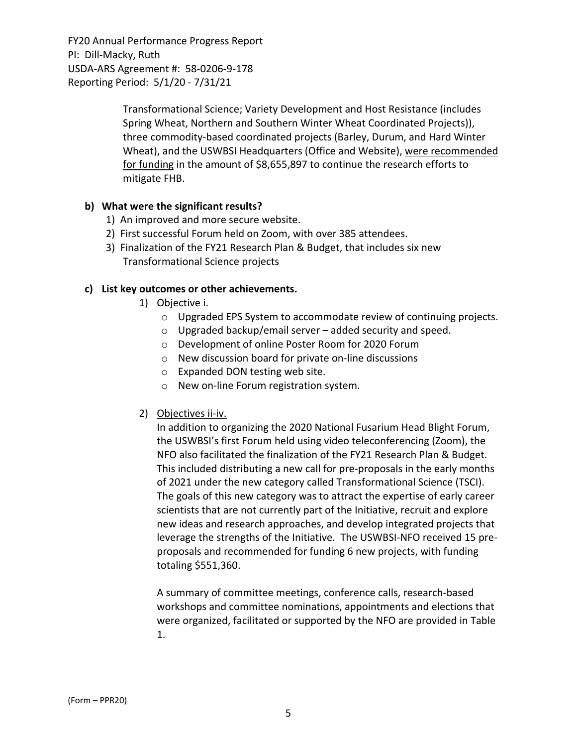> Transformational Science; Variety Development and Host Resistance (includes Spring Wheat, Northern and Southern Winter Wheat Coordinated Projects)), three commodity‐based coordinated projects (Barley, Durum, and Hard Winter Wheat), and the USWBSI Headquarters (Office and Website), were recommended for funding in the amount of \$8,655,897 to continue the research efforts to mitigate FHB.

## **b) What were the significant results?**

- 1) An improved and more secure website.
- 2) First successful Forum held on Zoom, with over 385 attendees.
- 3) Finalization of the FY21 Research Plan & Budget, that includes six new Transformational Science projects

## **c) List key outcomes or other achievements.**

- 1) Objective i.
	- o Upgraded EPS System to accommodate review of continuing projects.
	- $\circ$  Upgraded backup/email server added security and speed.
	- o Development of online Poster Room for 2020 Forum
	- o New discussion board for private on‐line discussions
	- o Expanded DON testing web site.
	- o New on‐line Forum registration system.

## 2) Objectives ii‐iv.

In addition to organizing the 2020 National Fusarium Head Blight Forum, the USWBSI's first Forum held using video teleconferencing (Zoom), the NFO also facilitated the finalization of the FY21 Research Plan & Budget. This included distributing a new call for pre‐proposals in the early months of 2021 under the new category called Transformational Science (TSCI). The goals of this new category was to attract the expertise of early career scientists that are not currently part of the Initiative, recruit and explore new ideas and research approaches, and develop integrated projects that leverage the strengths of the Initiative. The USWBSI‐NFO received 15 pre‐ proposals and recommended for funding 6 new projects, with funding totaling \$551,360.

A summary of committee meetings, conference calls, research‐based workshops and committee nominations, appointments and elections that were organized, facilitated or supported by the NFO are provided in Table 1.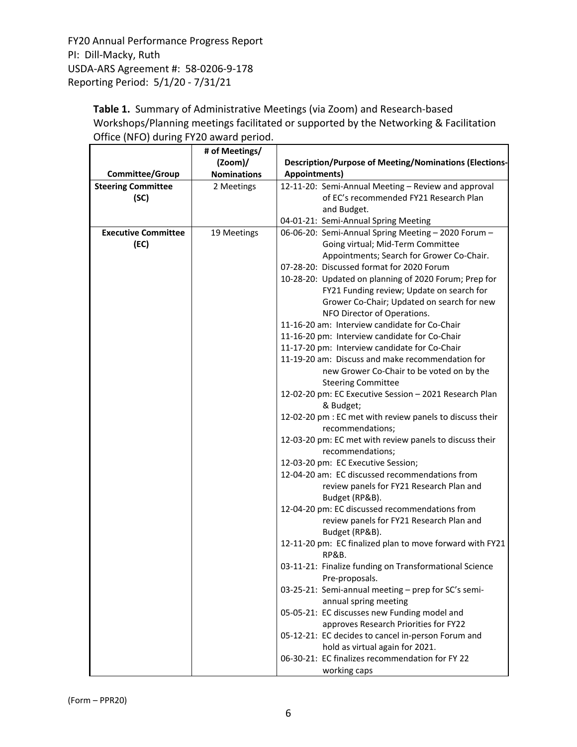> Table 1. Summary of Administrative Meetings (via Zoom) and Research-based Workshops/Planning meetings facilitated or supported by the Networking & Facilitation Office (NFO) during FY20 award period.

|                            | # of Meetings/     |                                                                                        |  |  |  |
|----------------------------|--------------------|----------------------------------------------------------------------------------------|--|--|--|
|                            | $(2oom)$ /         | <b>Description/Purpose of Meeting/Nominations (Elections-</b>                          |  |  |  |
| Committee/Group            | <b>Nominations</b> | <b>Appointments)</b>                                                                   |  |  |  |
| <b>Steering Committee</b>  | 2 Meetings         | 12-11-20: Semi-Annual Meeting - Review and approval                                    |  |  |  |
| (SC)                       |                    | of EC's recommended FY21 Research Plan                                                 |  |  |  |
|                            |                    | and Budget.                                                                            |  |  |  |
|                            |                    | 04-01-21: Semi-Annual Spring Meeting                                                   |  |  |  |
| <b>Executive Committee</b> | 19 Meetings        | 06-06-20: Semi-Annual Spring Meeting - 2020 Forum -                                    |  |  |  |
| (EC)                       |                    | Going virtual; Mid-Term Committee                                                      |  |  |  |
|                            |                    | Appointments; Search for Grower Co-Chair.<br>07-28-20: Discussed format for 2020 Forum |  |  |  |
|                            |                    | 10-28-20: Updated on planning of 2020 Forum; Prep for                                  |  |  |  |
|                            |                    | FY21 Funding review; Update on search for                                              |  |  |  |
|                            |                    | Grower Co-Chair; Updated on search for new                                             |  |  |  |
|                            |                    | NFO Director of Operations.                                                            |  |  |  |
|                            |                    | 11-16-20 am: Interview candidate for Co-Chair                                          |  |  |  |
|                            |                    | 11-16-20 pm: Interview candidate for Co-Chair                                          |  |  |  |
|                            |                    | 11-17-20 pm: Interview candidate for Co-Chair                                          |  |  |  |
|                            |                    | 11-19-20 am: Discuss and make recommendation for                                       |  |  |  |
|                            |                    | new Grower Co-Chair to be voted on by the                                              |  |  |  |
|                            |                    | <b>Steering Committee</b>                                                              |  |  |  |
|                            |                    | 12-02-20 pm: EC Executive Session - 2021 Research Plan<br>& Budget;                    |  |  |  |
|                            |                    | 12-02-20 pm : EC met with review panels to discuss their<br>recommendations;           |  |  |  |
|                            |                    | 12-03-20 pm: EC met with review panels to discuss their                                |  |  |  |
|                            |                    | recommendations;                                                                       |  |  |  |
|                            |                    | 12-03-20 pm: EC Executive Session;                                                     |  |  |  |
|                            |                    | 12-04-20 am: EC discussed recommendations from                                         |  |  |  |
|                            |                    | review panels for FY21 Research Plan and<br>Budget (RP&B).                             |  |  |  |
|                            |                    | 12-04-20 pm: EC discussed recommendations from                                         |  |  |  |
|                            |                    | review panels for FY21 Research Plan and                                               |  |  |  |
|                            |                    | Budget (RP&B).                                                                         |  |  |  |
|                            |                    | 12-11-20 pm: EC finalized plan to move forward with FY21<br>RP&B.                      |  |  |  |
|                            |                    | 03-11-21: Finalize funding on Transformational Science<br>Pre-proposals.               |  |  |  |
|                            |                    | 03-25-21: Semi-annual meeting - prep for SC's semi-<br>annual spring meeting           |  |  |  |
|                            |                    | 05-05-21: EC discusses new Funding model and                                           |  |  |  |
|                            |                    | approves Research Priorities for FY22                                                  |  |  |  |
|                            |                    | 05-12-21: EC decides to cancel in-person Forum and                                     |  |  |  |
|                            |                    | hold as virtual again for 2021.                                                        |  |  |  |
|                            |                    | 06-30-21: EC finalizes recommendation for FY 22                                        |  |  |  |
|                            |                    | working caps                                                                           |  |  |  |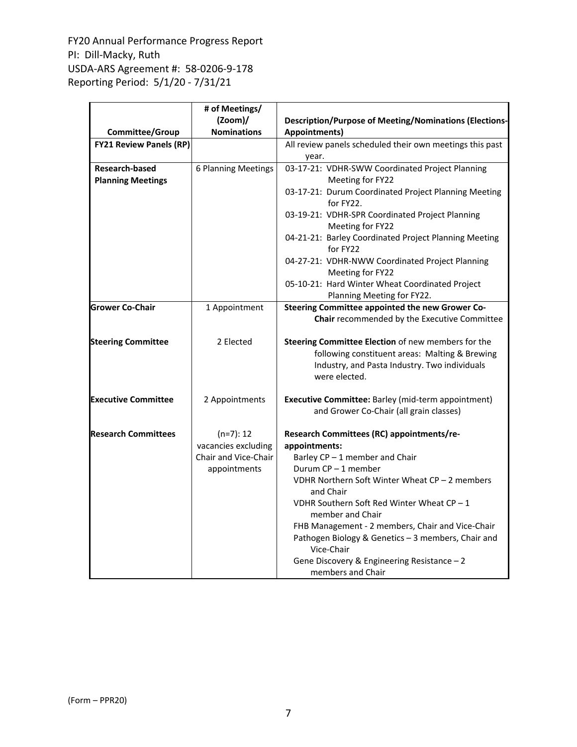|                                                   | # of Meetings/       |                                                                                                                                                                        |  |  |  |
|---------------------------------------------------|----------------------|------------------------------------------------------------------------------------------------------------------------------------------------------------------------|--|--|--|
|                                                   | $(2oom)$ /           | <b>Description/Purpose of Meeting/Nominations (Elections-</b>                                                                                                          |  |  |  |
| Committee/Group                                   | <b>Nominations</b>   | Appointments)                                                                                                                                                          |  |  |  |
| <b>FY21 Review Panels (RP)</b>                    |                      | All review panels scheduled their own meetings this past<br>year.                                                                                                      |  |  |  |
| <b>Research-based</b><br><b>Planning Meetings</b> | 6 Planning Meetings  | 03-17-21: VDHR-SWW Coordinated Project Planning<br>Meeting for FY22                                                                                                    |  |  |  |
|                                                   |                      | 03-17-21: Durum Coordinated Project Planning Meeting<br>for FY22.                                                                                                      |  |  |  |
|                                                   |                      | 03-19-21: VDHR-SPR Coordinated Project Planning<br>Meeting for FY22                                                                                                    |  |  |  |
|                                                   |                      | 04-21-21: Barley Coordinated Project Planning Meeting<br>for FY22                                                                                                      |  |  |  |
|                                                   |                      | 04-27-21: VDHR-NWW Coordinated Project Planning<br>Meeting for FY22                                                                                                    |  |  |  |
|                                                   |                      | 05-10-21: Hard Winter Wheat Coordinated Project<br>Planning Meeting for FY22.                                                                                          |  |  |  |
| <b>Grower Co-Chair</b>                            | 1 Appointment        | Steering Committee appointed the new Grower Co-<br>Chair recommended by the Executive Committee                                                                        |  |  |  |
| <b>Steering Committee</b>                         | 2 Elected            | Steering Committee Election of new members for the<br>following constituent areas: Malting & Brewing<br>Industry, and Pasta Industry. Two individuals<br>were elected. |  |  |  |
| <b>Executive Committee</b>                        | 2 Appointments       | Executive Committee: Barley (mid-term appointment)<br>and Grower Co-Chair (all grain classes)                                                                          |  |  |  |
| <b>Research Committees</b>                        | $(n=7): 12$          | Research Committees (RC) appointments/re-                                                                                                                              |  |  |  |
|                                                   | vacancies excluding  | appointments:                                                                                                                                                          |  |  |  |
|                                                   | Chair and Vice-Chair | Barley CP - 1 member and Chair                                                                                                                                         |  |  |  |
|                                                   | appointments         | Durum CP-1 member                                                                                                                                                      |  |  |  |
|                                                   |                      | VDHR Northern Soft Winter Wheat CP - 2 members<br>and Chair                                                                                                            |  |  |  |
|                                                   |                      | VDHR Southern Soft Red Winter Wheat $CP - 1$<br>member and Chair                                                                                                       |  |  |  |
|                                                   |                      | FHB Management - 2 members, Chair and Vice-Chair<br>Pathogen Biology & Genetics - 3 members, Chair and<br>Vice-Chair                                                   |  |  |  |
|                                                   |                      | Gene Discovery & Engineering Resistance - 2<br>members and Chair                                                                                                       |  |  |  |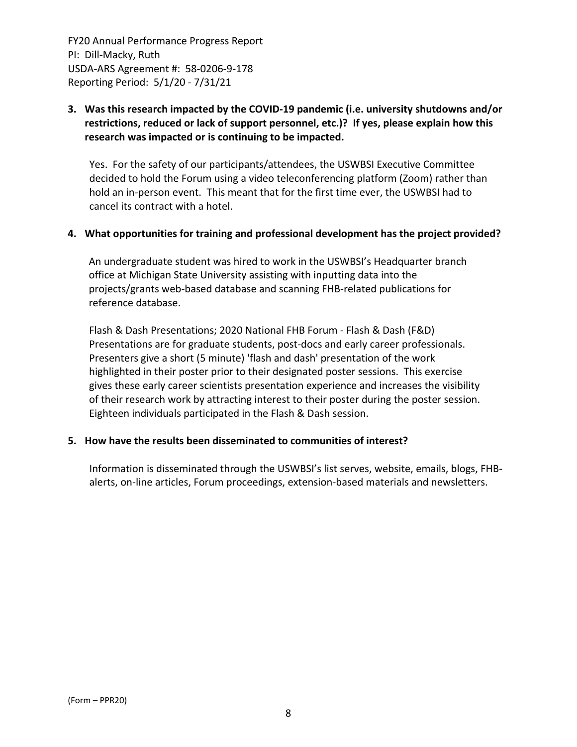## **3. Was this research impacted by the COVID‐19 pandemic (i.e. university shutdowns and/or restrictions, reduced or lack of support personnel, etc.)? If yes, please explain how this research was impacted or is continuing to be impacted.**

Yes. For the safety of our participants/attendees, the USWBSI Executive Committee decided to hold the Forum using a video teleconferencing platform (Zoom) rather than hold an in‐person event. This meant that for the first time ever, the USWBSI had to cancel its contract with a hotel.

## **4. What opportunities for training and professional development has the project provided?**

An undergraduate student was hired to work in the USWBSI's Headquarter branch office at Michigan State University assisting with inputting data into the projects/grants web‐based database and scanning FHB‐related publications for reference database.

Flash & Dash Presentations; 2020 National FHB Forum ‐ Flash & Dash (F&D) Presentations are for graduate students, post‐docs and early career professionals. Presenters give a short (5 minute) 'flash and dash' presentation of the work highlighted in their poster prior to their designated poster sessions. This exercise gives these early career scientists presentation experience and increases the visibility of their research work by attracting interest to their poster during the poster session. Eighteen individuals participated in the Flash & Dash session.

## **5. How have the results been disseminated to communities of interest?**

Information is disseminated through the USWBSI's list serves, website, emails, blogs, FHB‐ alerts, on‐line articles, Forum proceedings, extension‐based materials and newsletters.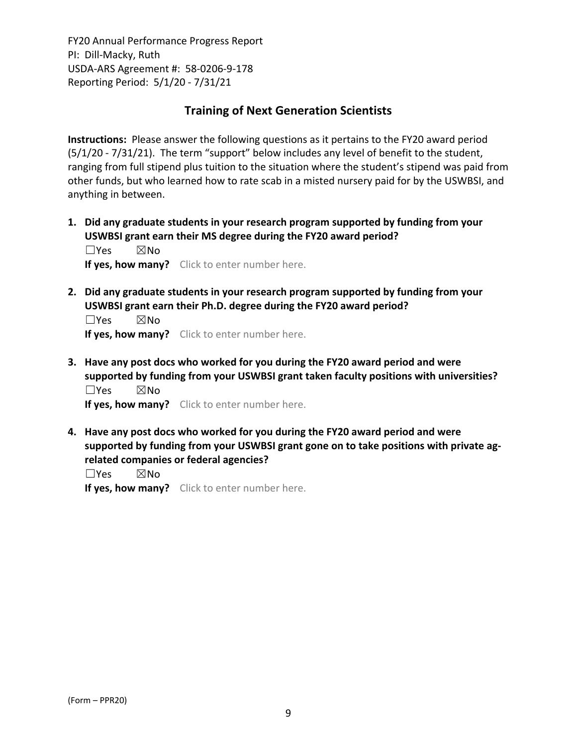# **Training of Next Generation Scientists**

**Instructions:** Please answer the following questions as it pertains to the FY20 award period  $(5/1/20 - 7/31/21)$ . The term "support" below includes any level of benefit to the student, ranging from full stipend plus tuition to the situation where the student's stipend was paid from other funds, but who learned how to rate scab in a misted nursery paid for by the USWBSI, and anything in between.

**1. Did any graduate students in your research program supported by funding from your USWBSI grant earn their MS degree during the FY20 award period?** ☐Yes ☒No

**If yes, how many?** Click to enter number here.

**2. Did any graduate students in your research program supported by funding from your USWBSI grant earn their Ph.D. degree during the FY20 award period?**

 $\square$ Yes  $\square$ No **If yes, how many?** Click to enter number here.

**3. Have any post docs who worked for you during the FY20 award period and were supported by funding from your USWBSI grant taken faculty positions with universities?** ☐Yes ☒No

**If yes, how many?** Click to enter number here.

**4. Have any post docs who worked for you during the FY20 award period and were supported by funding from your USWBSI grant gone on to take positions with private ag‐ related companies or federal agencies?**

☐Yes ☒No

**If yes, how many?** Click to enter number here.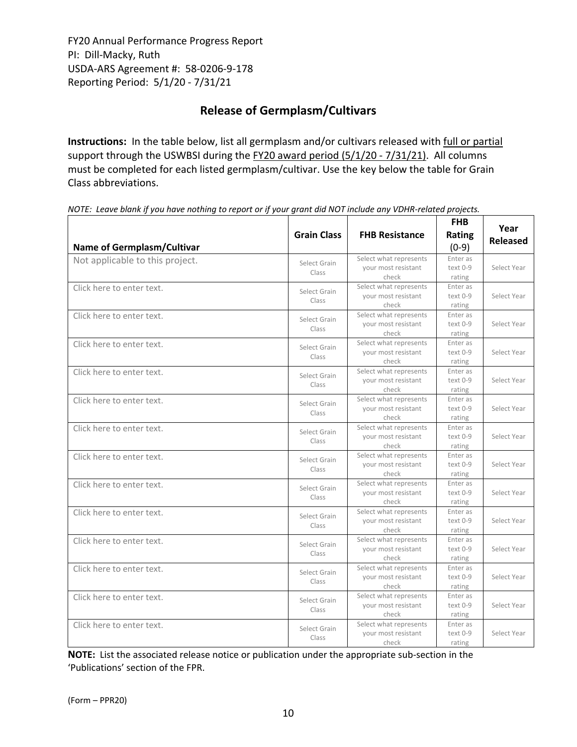# **Release of Germplasm/Cultivars**

**Instructions:** In the table below, list all germplasm and/or cultivars released with full or partial support through the USWBSI during the FY20 award period (5/1/20 - 7/31/21). All columns must be completed for each listed germplasm/cultivar. Use the key below the table for Grain Class abbreviations. 

| <b>Name of Germplasm/Cultivar</b> | <b>Grain Class</b>    | <b>FHB Resistance</b>                                  | <b>FHB</b><br>Rating<br>$(0-9)$ | Year<br><b>Released</b> |
|-----------------------------------|-----------------------|--------------------------------------------------------|---------------------------------|-------------------------|
| Not applicable to this project.   | Select Grain<br>Class | Select what represents<br>your most resistant<br>check | Enter as<br>text 0-9<br>rating  | Select Year             |
| Click here to enter text.         | Select Grain<br>Class | Select what represents<br>your most resistant<br>check | Enter as<br>text 0-9<br>rating  | Select Year             |
| Click here to enter text.         | Select Grain<br>Class | Select what represents<br>your most resistant<br>check | Enter as<br>text 0-9<br>rating  | Select Year             |
| Click here to enter text.         | Select Grain<br>Class | Select what represents<br>your most resistant<br>check | Enter as<br>text 0-9<br>rating  | Select Year             |
| Click here to enter text.         | Select Grain<br>Class | Select what represents<br>your most resistant<br>check | Enter as<br>text 0-9<br>rating  | Select Year             |
| Click here to enter text.         | Select Grain<br>Class | Select what represents<br>your most resistant<br>check | Enter as<br>text 0-9<br>rating  | Select Year             |
| Click here to enter text.         | Select Grain<br>Class | Select what represents<br>your most resistant<br>check | Enter as<br>text 0-9<br>rating  | Select Year             |
| Click here to enter text.         | Select Grain<br>Class | Select what represents<br>your most resistant<br>check | Enter as<br>text 0-9<br>rating  | Select Year             |
| Click here to enter text.         | Select Grain<br>Class | Select what represents<br>your most resistant<br>check | Enter as<br>text 0-9<br>rating  | Select Year             |
| Click here to enter text.         | Select Grain<br>Class | Select what represents<br>vour most resistant<br>check | Enter as<br>text 0-9<br>rating  | Select Year             |
| Click here to enter text.         | Select Grain<br>Class | Select what represents<br>your most resistant<br>check | Enter as<br>text 0-9<br>rating  | Select Year             |
| Click here to enter text.         | Select Grain<br>Class | Select what represents<br>your most resistant<br>check | Enter as<br>text 0-9<br>rating  | Select Year             |
| Click here to enter text.         | Select Grain<br>Class | Select what represents<br>your most resistant<br>check | Enter as<br>text 0-9<br>rating  | Select Year             |
| Click here to enter text.         | Select Grain<br>Class | Select what represents<br>your most resistant<br>check | Enter as<br>text 0-9<br>rating  | Select Year             |

NOTE: Leave blank if you have nothing to report or if your grant did NOT include any VDHR-related projects.

**NOTE:** List the associated release notice or publication under the appropriate sub-section in the 'Publications' section of the FPR.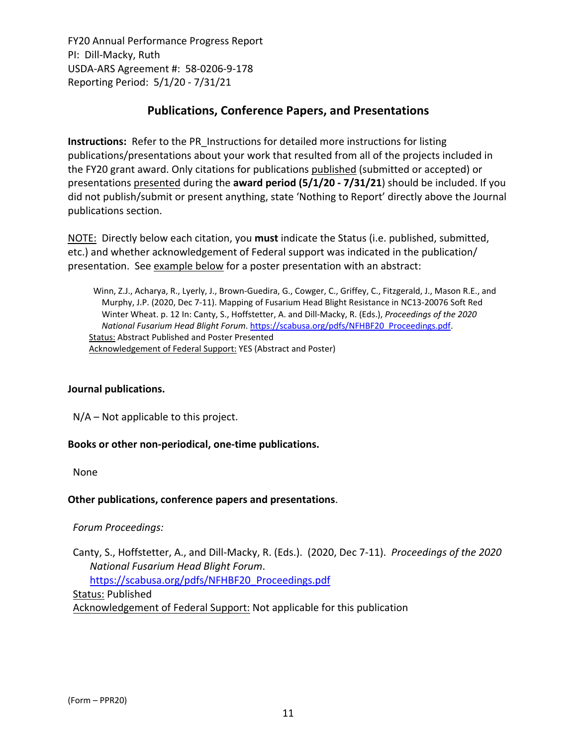# **Publications, Conference Papers, and Presentations**

**Instructions:** Refer to the PR\_Instructions for detailed more instructions for listing publications/presentations about your work that resulted from all of the projects included in the FY20 grant award. Only citations for publications published (submitted or accepted) or presentations presented during the **award period (5/1/20 ‐ 7/31/21**) should be included. If you did not publish/submit or present anything, state 'Nothing to Report' directly above the Journal publications section.

NOTE: Directly below each citation, you **must** indicate the Status (i.e. published, submitted, etc.) and whether acknowledgement of Federal support was indicated in the publication/ presentation. See example below for a poster presentation with an abstract:

Winn, Z.J., Acharya, R., Lyerly, J., Brown‐Guedira, G., Cowger, C., Griffey, C., Fitzgerald, J., Mason R.E., and Murphy, J.P. (2020, Dec 7‐11). Mapping of Fusarium Head Blight Resistance in NC13‐20076 Soft Red Winter Wheat. p. 12 In: Canty, S., Hoffstetter, A. and Dill‐Macky, R. (Eds.), *Proceedings of the 2020 National Fusarium Head Blight Forum*. https://scabusa.org/pdfs/NFHBF20\_Proceedings.pdf. Status: Abstract Published and Poster Presented Acknowledgement of Federal Support: YES (Abstract and Poster)

## **Journal publications.**

N/A – Not applicable to this project.

## **Books or other non‐periodical, one‐time publications.**

None

## **Other publications, conference papers and presentations**.

## *Forum Proceedings:*

Canty, S., Hoffstetter, A., and Dill‐Macky, R. (Eds.). (2020, Dec 7‐11). *Proceedings of the 2020 National Fusarium Head Blight Forum*. https://scabusa.org/pdfs/NFHBF20\_Proceedings.pdf

Status: Published

Acknowledgement of Federal Support: Not applicable for this publication